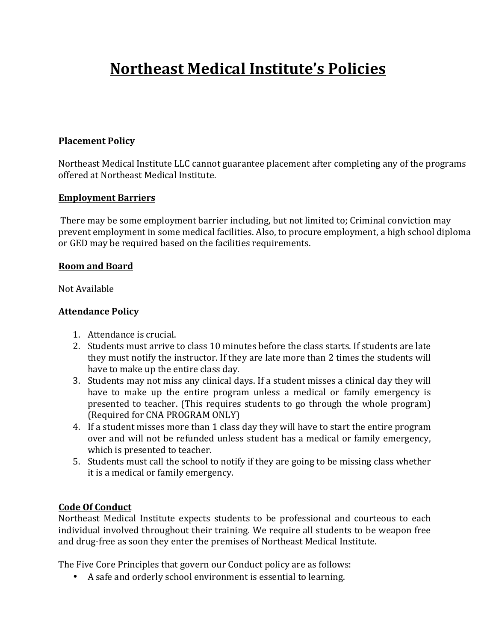# **Northeast Medical Institute's Policies**

### **Placement Policy**

Northeast Medical Institute LLC cannot guarantee placement after completing any of the programs offered at Northeast Medical Institute. 

#### **Employment Barriers**

There may be some employment barrier including, but not limited to; Criminal conviction may prevent employment in some medical facilities. Also, to procure employment, a high school diploma or GED may be required based on the facilities requirements.

## **Room and Board**

Not Available

## **Attendance Policy**

- 1. Attendance is crucial.
- 2. Students must arrive to class 10 minutes before the class starts. If students are late they must notify the instructor. If they are late more than 2 times the students will have to make up the entire class day.
- 3. Students may not miss any clinical days. If a student misses a clinical day they will have to make up the entire program unless a medical or family emergency is presented to teacher. (This requires students to go through the whole program) (Required for CNA PROGRAM ONLY)
- 4. If a student misses more than 1 class day they will have to start the entire program over and will not be refunded unless student has a medical or family emergency, which is presented to teacher.
- 5. Students must call the school to notify if they are going to be missing class whether it is a medical or family emergency.

# **Code Of Conduct**

Northeast Medical Institute expects students to be professional and courteous to each individual involved throughout their training. We require all students to be weapon free and drug-free as soon they enter the premises of Northeast Medical Institute.

The Five Core Principles that govern our Conduct policy are as follows:

• A safe and orderly school environment is essential to learning.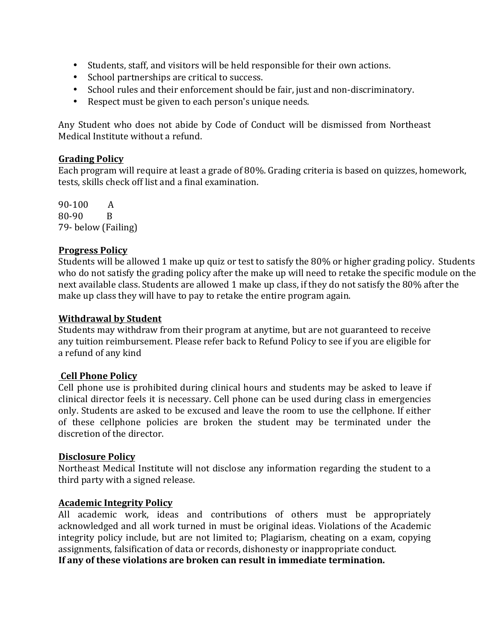- Students, staff, and visitors will be held responsible for their own actions.
- School partnerships are critical to success.
- School rules and their enforcement should be fair, just and non-discriminatory.
- Respect must be given to each person's unique needs.

Any Student who does not abide by Code of Conduct will be dismissed from Northeast Medical Institute without a refund.

#### **Grading Policy**

Each program will require at least a grade of 80%. Grading criteria is based on quizzes, homework, tests, skills check off list and a final examination.

90-100 A  $80-90$  B 79- below (Failing)

#### **Progress Policy**

Students will be allowed 1 make up quiz or test to satisfy the 80% or higher grading policy. Students who do not satisfy the grading policy after the make up will need to retake the specific module on the next available class. Students are allowed 1 make up class, if they do not satisfy the 80% after the make up class they will have to pay to retake the entire program again.

#### **Withdrawal by Student**

Students may withdraw from their program at anytime, but are not guaranteed to receive any tuition reimbursement. Please refer back to Refund Policy to see if you are eligible for a refund of any kind

#### **Cell Phone Policy**

Cell phone use is prohibited during clinical hours and students may be asked to leave if clinical director feels it is necessary. Cell phone can be used during class in emergencies only. Students are asked to be excused and leave the room to use the cellphone. If either of these cellphone policies are broken the student may be terminated under the discretion of the director.

#### **Disclosure Policy**

Northeast Medical Institute will not disclose any information regarding the student to a third party with a signed release.

#### **Academic Integrity Policy**

All academic work, ideas and contributions of others must be appropriately acknowledged and all work turned in must be original ideas. Violations of the Academic integrity policy include, but are not limited to; Plagiarism, cheating on a exam, copying assignments, falsification of data or records, dishonesty or inappropriate conduct. If any of these violations are broken can result in immediate termination.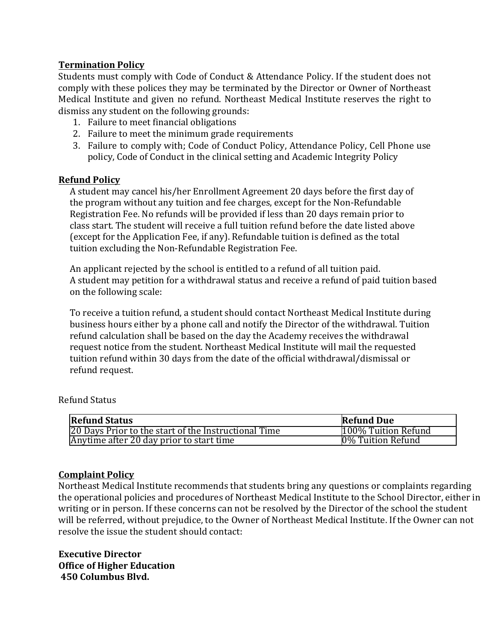### **Termination Policy**

Students must comply with Code of Conduct & Attendance Policy. If the student does not comply with these polices they may be terminated by the Director or Owner of Northeast Medical Institute and given no refund. Northeast Medical Institute reserves the right to dismiss any student on the following grounds:

- 1. Failure to meet financial obligations
- 2. Failure to meet the minimum grade requirements
- 3. Failure to comply with; Code of Conduct Policy, Attendance Policy, Cell Phone use policy, Code of Conduct in the clinical setting and Academic Integrity Policy

#### **Refund Policy**

A student may cancel his/her Enrollment Agreement 20 days before the first day of the program without any tuition and fee charges, except for the Non-Refundable Registration Fee. No refunds will be provided if less than 20 days remain prior to class start. The student will receive a full tuition refund before the date listed above (except for the Application Fee, if any). Refundable tuition is defined as the total tuition excluding the Non-Refundable Registration Fee.

An applicant rejected by the school is entitled to a refund of all tuition paid. A student may petition for a withdrawal status and receive a refund of paid tuition based on the following scale:

To receive a tuition refund, a student should contact Northeast Medical Institute during business hours either by a phone call and notify the Director of the withdrawal. Tuition refund calculation shall be based on the day the Academy receives the withdrawal request notice from the student. Northeast Medical Institute will mail the requested tuition refund within 30 days from the date of the official withdrawal/dismissal or refund request.

| <b>Refund Status</b>                                 | <b>Refund Due</b>   |
|------------------------------------------------------|---------------------|
| 20 Days Prior to the start of the Instructional Time | 100% Tuition Refund |
| Anytime after 20 day prior to start time             | 0% Tuition Refund   |

#### Refund Status

#### **Complaint Policy**

Northeast Medical Institute recommends that students bring any questions or complaints regarding the operational policies and procedures of Northeast Medical Institute to the School Director, either in writing or in person. If these concerns can not be resolved by the Director of the school the student will be referred, without prejudice, to the Owner of Northeast Medical Institute. If the Owner can not resolve the issue the student should contact:

**Executive Director Office of Higher Education 450 Columbus Blvd.**